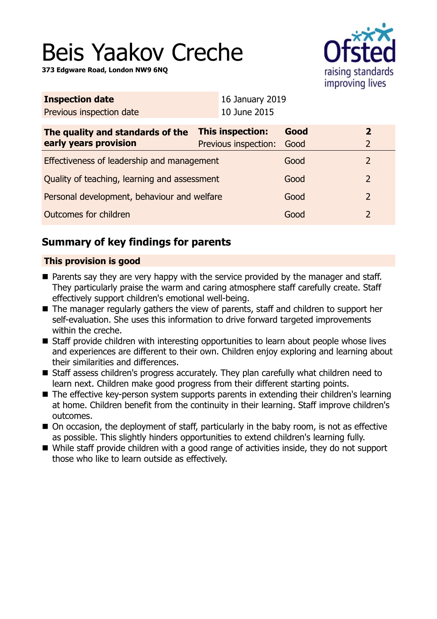# Beis Yaakov Creche

**373 Edgware Road, London NW9 6NQ**



| <b>Inspection date</b>                                    |  | 16 January 2019                               |      |                |
|-----------------------------------------------------------|--|-----------------------------------------------|------|----------------|
| Previous inspection date                                  |  | 10 June 2015                                  |      |                |
| The quality and standards of the<br>early years provision |  | This inspection:<br>Previous inspection: Good | Good | 2<br>2         |
| Effectiveness of leadership and management                |  |                                               | Good | $\overline{2}$ |
| Quality of teaching, learning and assessment              |  |                                               | Good | $\overline{2}$ |
| Personal development, behaviour and welfare               |  |                                               | Good | $\overline{2}$ |
| Outcomes for children                                     |  |                                               | Good | 2              |
|                                                           |  |                                               |      |                |

# **Summary of key findings for parents**

## **This provision is good**

- $\blacksquare$  Parents say they are very happy with the service provided by the manager and staff. They particularly praise the warm and caring atmosphere staff carefully create. Staff effectively support children's emotional well-being.
- The manager regularly gathers the view of parents, staff and children to support her self-evaluation. She uses this information to drive forward targeted improvements within the creche.
- Staff provide children with interesting opportunities to learn about people whose lives and experiences are different to their own. Children enjoy exploring and learning about their similarities and differences.
- Staff assess children's progress accurately. They plan carefully what children need to learn next. Children make good progress from their different starting points.
- The effective key-person system supports parents in extending their children's learning at home. Children benefit from the continuity in their learning. Staff improve children's outcomes.
- On occasion, the deployment of staff, particularly in the baby room, is not as effective as possible. This slightly hinders opportunities to extend children's learning fully.
- While staff provide children with a good range of activities inside, they do not support those who like to learn outside as effectively.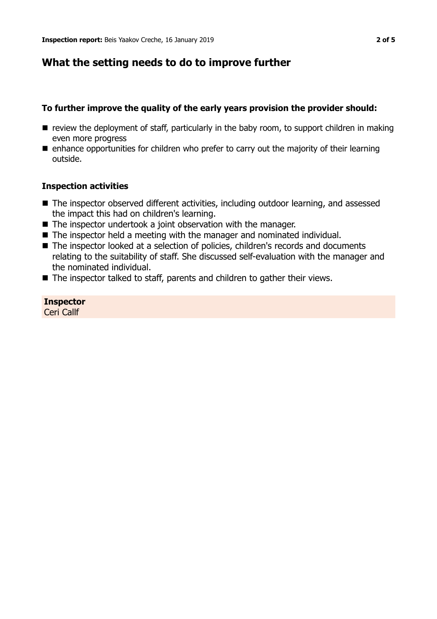# **What the setting needs to do to improve further**

## **To further improve the quality of the early years provision the provider should:**

- $\blacksquare$  review the deployment of staff, particularly in the baby room, to support children in making even more progress
- $\blacksquare$  enhance opportunities for children who prefer to carry out the majority of their learning outside.

### **Inspection activities**

- The inspector observed different activities, including outdoor learning, and assessed the impact this had on children's learning.
- $\blacksquare$  The inspector undertook a joint observation with the manager.
- $\blacksquare$  The inspector held a meeting with the manager and nominated individual.
- The inspector looked at a selection of policies, children's records and documents relating to the suitability of staff. She discussed self-evaluation with the manager and the nominated individual.
- $\blacksquare$  The inspector talked to staff, parents and children to gather their views.

**Inspector** Ceri Callf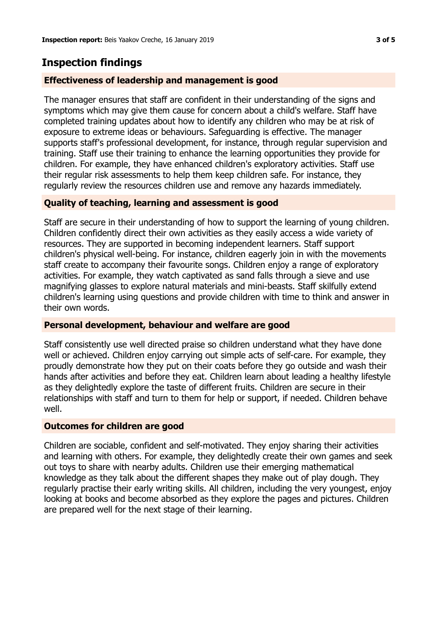## **Inspection findings**

#### **Effectiveness of leadership and management is good**

The manager ensures that staff are confident in their understanding of the signs and symptoms which may give them cause for concern about a child's welfare. Staff have completed training updates about how to identify any children who may be at risk of exposure to extreme ideas or behaviours. Safeguarding is effective. The manager supports staff's professional development, for instance, through regular supervision and training. Staff use their training to enhance the learning opportunities they provide for children. For example, they have enhanced children's exploratory activities. Staff use their regular risk assessments to help them keep children safe. For instance, they regularly review the resources children use and remove any hazards immediately.

#### **Quality of teaching, learning and assessment is good**

Staff are secure in their understanding of how to support the learning of young children. Children confidently direct their own activities as they easily access a wide variety of resources. They are supported in becoming independent learners. Staff support children's physical well-being. For instance, children eagerly join in with the movements staff create to accompany their favourite songs. Children enjoy a range of exploratory activities. For example, they watch captivated as sand falls through a sieve and use magnifying glasses to explore natural materials and mini-beasts. Staff skilfully extend children's learning using questions and provide children with time to think and answer in their own words.

#### **Personal development, behaviour and welfare are good**

Staff consistently use well directed praise so children understand what they have done well or achieved. Children enjoy carrying out simple acts of self-care. For example, they proudly demonstrate how they put on their coats before they go outside and wash their hands after activities and before they eat. Children learn about leading a healthy lifestyle as they delightedly explore the taste of different fruits. Children are secure in their relationships with staff and turn to them for help or support, if needed. Children behave well.

#### **Outcomes for children are good**

Children are sociable, confident and self-motivated. They enjoy sharing their activities and learning with others. For example, they delightedly create their own games and seek out toys to share with nearby adults. Children use their emerging mathematical knowledge as they talk about the different shapes they make out of play dough. They regularly practise their early writing skills. All children, including the very youngest, enjoy looking at books and become absorbed as they explore the pages and pictures. Children are prepared well for the next stage of their learning.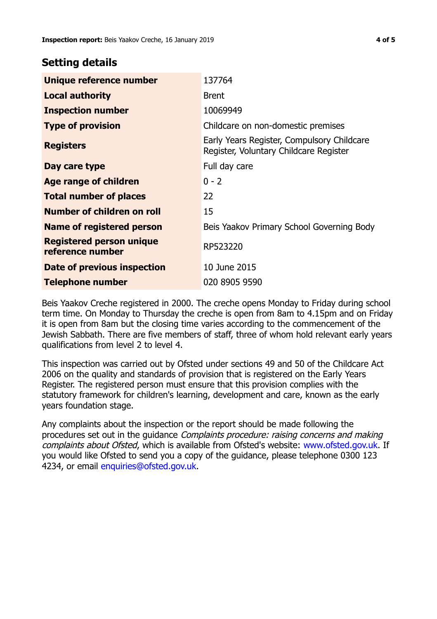## **Setting details**

| Unique reference number                             | 137764                                                                               |
|-----------------------------------------------------|--------------------------------------------------------------------------------------|
| <b>Local authority</b>                              | <b>Brent</b>                                                                         |
| <b>Inspection number</b>                            | 10069949                                                                             |
| <b>Type of provision</b>                            | Childcare on non-domestic premises                                                   |
| <b>Registers</b>                                    | Early Years Register, Compulsory Childcare<br>Register, Voluntary Childcare Register |
| Day care type                                       | Full day care                                                                        |
| Age range of children                               | $0 - 2$                                                                              |
| <b>Total number of places</b>                       | 22                                                                                   |
| Number of children on roll                          | 15                                                                                   |
| Name of registered person                           | Beis Yaakov Primary School Governing Body                                            |
| <b>Registered person unique</b><br>reference number | RP523220                                                                             |
| Date of previous inspection                         | 10 June 2015                                                                         |
| Telephone number                                    | 020 8905 9590                                                                        |

Beis Yaakov Creche registered in 2000. The creche opens Monday to Friday during school term time. On Monday to Thursday the creche is open from 8am to 4.15pm and on Friday it is open from 8am but the closing time varies according to the commencement of the Jewish Sabbath. There are five members of staff, three of whom hold relevant early years qualifications from level 2 to level 4.

This inspection was carried out by Ofsted under sections 49 and 50 of the Childcare Act 2006 on the quality and standards of provision that is registered on the Early Years Register. The registered person must ensure that this provision complies with the statutory framework for children's learning, development and care, known as the early years foundation stage.

Any complaints about the inspection or the report should be made following the procedures set out in the guidance Complaints procedure: raising concerns and making complaints about Ofsted, which is available from Ofsted's website: www.ofsted.gov.uk. If you would like Ofsted to send you a copy of the guidance, please telephone 0300 123 4234, or email [enquiries@ofsted.gov.uk.](mailto:enquiries@ofsted.gov.uk)